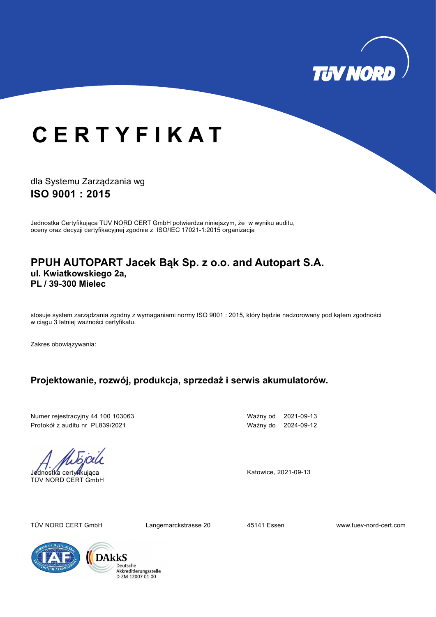

## <sup>C</sup> E R T Y F I K A T

dla Systemu Zarządzania wg ISO 9001 : 2015

Jednostka Certyfikująca TÜV NORD CERT GmbH potwierdza niniejszym, że w wyniku auditu, oceny oraz decyzji certyfikacyjnej zgodnie z ISO/IEC 17021-1:2015 organizacja

#### PPUH AUTOPART Jacek Bąk Sp. z o.o. and Autopart S.A. ul. Kwiatkowskiego 2a, PL / 39-300 Mielec

stosuje system zarządzania zgodny z wymaganiami normy ISO 9001 : 2015, który będzie nadzorowany pod kątem zgodności w ciągu 3 letniej ważności certyfikatu.

Zakres obowiązywania:

#### Projektowanie, rozwój, produkcja, sprzedaż i serwis akumulatorów.

Numer rejestracyjny 44 100 103063 Ważny od 2021-09-13 Protokół z auditu nr PL839/2021 Ważny do 2024-09-12

Jednostka certyfikująca TÜV NORD CERT GmbH

Katowice, 2021-09-13

TÜV NORD CERT GmbH Langemarckstrasse 20 45141 Essen www.tuev-nord-cert.com

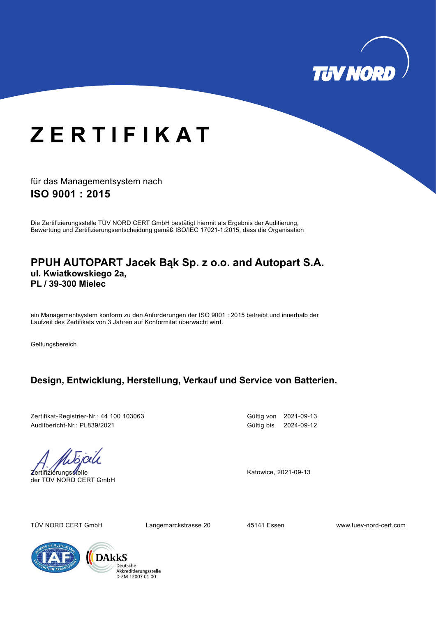

# **ZERTIFIKAT**

für das Managementsystem nach ISO 9001 : 2015

Die Zertifizierungsstelle TÜV NORD CERT GmbH bestätigt hiermit als Ergebnis der Auditierung, Bewertung und Zertifizierungsentscheidung gemäß ISO/IEC 17021-1:2015, dass die Organisation

#### PPUH AUTOPART Jacek Bąk Sp. z o.o. and Autopart S.A. ul. Kwiatkowskiego 2a, PL / 39-300 Mielec

ein Managementsystem konform zu den Anforderungen der ISO 9001 : 2015 betreibt und innerhalb der Laufzeit des Zertifikats von 3 Jahren auf Konformität überwacht wird.

Geltungsbereich

### Design, Entwicklung, Herstellung, Verkauf und Service von Batterien.

Zertifikat-Registrier-Nr.: 44 100 103063 Gültig von 2021-09-13 Auditbericht-Nr.: PL839/2021 Gültig bis 2024-09-12

Zertifizierungsstelle der TÜV NORD CERT GmbH

Katowice, 2021-09-13

TÜV NORD CERT GmbH Langemarckstrasse 20 45141 Essen www.tuev-nord-cert.com